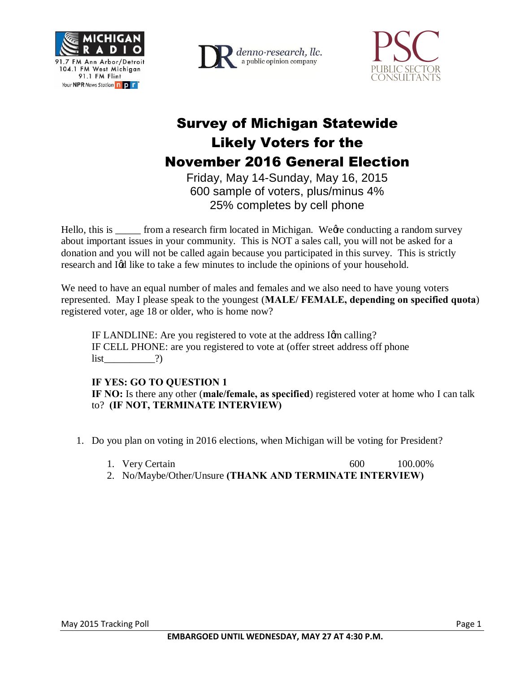





## Survey of Michigan Statewide Likely Voters for the November 2016 General Election

Friday, May 14-Sunday, May 16, 2015 600 sample of voters, plus/minus 4% 25% completes by cell phone

Hello, this is <u>come</u> from a research firm located in Michigan. We get conducting a random survey about important issues in your community. This is NOT a sales call, you will not be asked for a donation and you will not be called again because you participated in this survey. This is strictly research and I $\alpha$  like to take a few minutes to include the opinions of your household.

We need to have an equal number of males and females and we also need to have young voters represented. May I please speak to the youngest (**MALE/ FEMALE, depending on specified quota**) registered voter, age 18 or older, who is home now?

IF LANDLINE: Are you registered to vote at the address Igm calling? IF CELL PHONE: are you registered to vote at (offer street address off phone  $list$  (?)

## **IF YES: GO TO QUESTION 1**

**IF NO:** Is there any other (**male/female, as specified**) registered voter at home who I can talk to? **(IF NOT, TERMINATE INTERVIEW)**

- 1. Do you plan on voting in 2016 elections, when Michigan will be voting for President?
	- 1. Very Certain 600 100.00%
	- 2. No/Maybe/Other/Unsure **(THANK AND TERMINATE INTERVIEW)**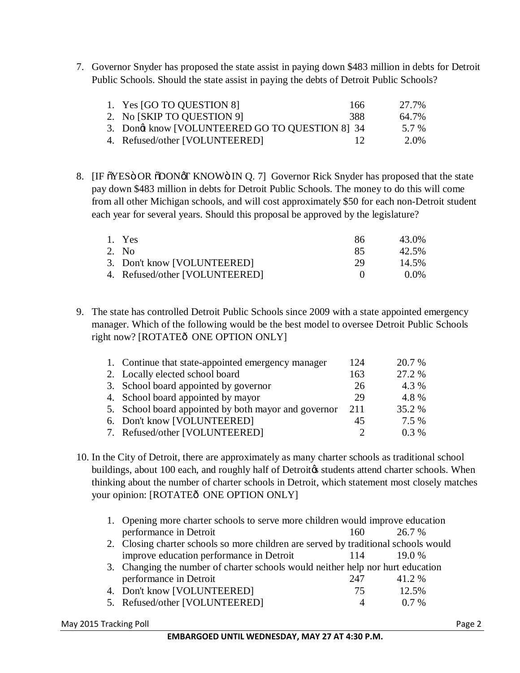7. Governor Snyder has proposed the state assist in paying down \$483 million in debts for Detroit Public Schools. Should the state assist in paying the debts of Detroit Public Schools?

| 1. Yes [GO TO QUESTION 8]                      | 166  | 27.7% |
|------------------------------------------------|------|-------|
| 2. No [SKIP TO QUESTION 9]                     | 388. | 64.7% |
| 3. Dong know [VOLUNTEERED GO TO QUESTION 8] 34 |      | 5.7 % |
| 4. Refused/other [VOLUNTEERED]                 | 12   | 2.0%  |

8. [IF  $\tilde{\text{o}}$ YES OR  $\tilde{\text{o}}$ DON $\delta$ T KNOW $\tilde{\text{o}}$  IN Q. 7] Governor Rick Snyder has proposed that the state pay down \$483 million in debts for Detroit Public Schools. The money to do this will come from all other Michigan schools, and will cost approximately \$50 for each non-Detroit student each year for several years. Should this proposal be approved by the legislature?

| 1. Yes                         | -86 | 43.0%   |
|--------------------------------|-----|---------|
| 2. No.                         | 85  | 42.5%   |
| 3. Don't know [VOLUNTEERED]    | 29  | 14.5%   |
| 4. Refused/other [VOLUNTEERED] |     | $0.0\%$ |

9. The state has controlled Detroit Public Schools since 2009 with a state appointed emergency manager. Which of the following would be the best model to oversee Detroit Public Schools right now? [ROTATEô ONE OPTION ONLY]

| 1. Continue that state-appointed emergency manager   | 124 | 20.7 %  |
|------------------------------------------------------|-----|---------|
| 2. Locally elected school board                      | 163 | 27.2 %  |
| 3. School board appointed by governor                | 26  | 4.3 %   |
| 4. School board appointed by mayor                   | 29  | 4.8 %   |
| 5. School board appointed by both mayor and governor | 211 | 35.2 %  |
| 6. Don't know [VOLUNTEERED]                          | 45  | 7.5 %   |
| 7. Refused/other [VOLUNTEERED]                       | ∍   | $0.3\%$ |

10. In the City of Detroit, there are approximately as many charter schools as traditional school buildings, about 100 each, and roughly half of Detroit ts students attend charter schools. When thinking about the number of charter schools in Detroit, which statement most closely matches your opinion: [ROTATEô ONE OPTION ONLY]

| 1. Opening more charter schools to serve more children would improve education      |                                                                                 |        |  |
|-------------------------------------------------------------------------------------|---------------------------------------------------------------------------------|--------|--|
| performance in Detroit                                                              | 160                                                                             | 26.7%  |  |
| 2. Closing charter schools so more children are served by traditional schools would |                                                                                 |        |  |
| improve education performance in Detroit                                            |                                                                                 | 19.0%  |  |
|                                                                                     | 3. Changing the number of charter schools would neither help nor hurt education |        |  |
| performance in Detroit                                                              | 247                                                                             | 41.2 % |  |
| 4. Don't know [VOLUNTEERED]                                                         | 75                                                                              | 12.5%  |  |
| 5. Refused/other [VOLUNTEERED]                                                      |                                                                                 | $07\%$ |  |